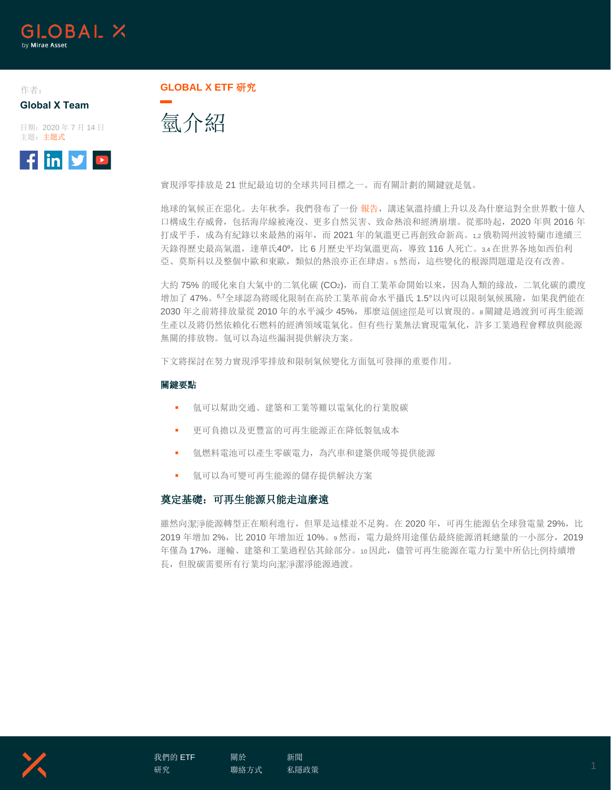

作者: **Global X Team**

日期:2020 年 7 月 14 日 主題:主題式



**GLOBAL X ETF** 研究

氫介紹

實現淨零排放是 21 世紀最迫切的全球共同目標之一。而有關計劃的關鍵就是氫。

地球的氣候正在惡化。去年秋季,我們發布了一份[報告,](https://www.globalxetfs.com/introducing-the-global-x-cleantech-etf-ctec/)講述氣溫持續上升以及為什麼這對全世界數十億人 口構成生存威脅,包括海岸線被淹沒、更多自然災害、致命熱浪和經濟崩壞。從那時起,2020 年與 2016 年 打成平手,成為有紀錄以來最熱的兩年,而 2021 年的氣溫更已再創致命新高。1,2 俄勒岡州波特蘭市連續三 天錄得歷史最高氣溫,達華氏40°,比 6 月歷史平均氣溫更高,導致 116 人死亡。3,4 在世界各地如西伯利 亞、莫斯科以及整個中歐和東歐,類似的熱浪亦正在肆虐。5 然而,這些變化的根源問題還是沒有改善。

大約 75% 的暖化來自大氣中的二氧化碳 (CO2), 而自工業革命開始以來, 因為人類的緣故, 二氧化碳的濃度 增加了 47%。67全球認為將暖化限制在高於工業革前命水平攝氏 1.5°以内可以限制氣候風險,如果我們能在 2030 年之前將排放量從 2010 年的水平減少 45%,那麼這個途徑是可以實現的。8 關鍵是過渡到可再生能源 生產以及將仍然依賴化石燃料的經濟領域電氣化。但有些行業無法實現電氣化,許多工業過程會釋放與能源 無關的排放物。氫可以為這些漏洞提供解決方案。

下文將探討在努力實現淨零排放和限制氣候變化方面氫可發揮的重要作用。

#### 關鍵要點

- 氫可以幫助交通、建築和工業等難以電氣化的行業脫碳
- 更可負擔以及更豐富的可再生能源正在降低製氫成本
- 氫燃料電池可以產生零碳電力,為汽車和建築供暖等提供能源
- 氫可以為可變可再生能源的儲存提供解決方案

## 奠定基礎:可再生能源只能走這麼遠

雖然向潔淨能源轉型正在順利進行,但單是這樣並不足夠。在 2020 年,可再生能源佔全球發電量 29%,比 2019 年增加 2%, 比 2010 年增加近 10%。9然而, 電力最終用途僅佔最終能源消耗總量的一小部分, 2019 年僅為 17%,運輸、建築和工業過程佔其餘部分。10 因此,儘管可再生能源在電力行業中所佔比例持續增 長,但脫碳需要所有行業均向潔淨潔淨能源過渡。



[關於](https://www.globalxetfs.com/about/)

[新聞](https://www.globalxetfs.com/news/) [私隱政策](https://www.globalxetfs.com/privacy/) 1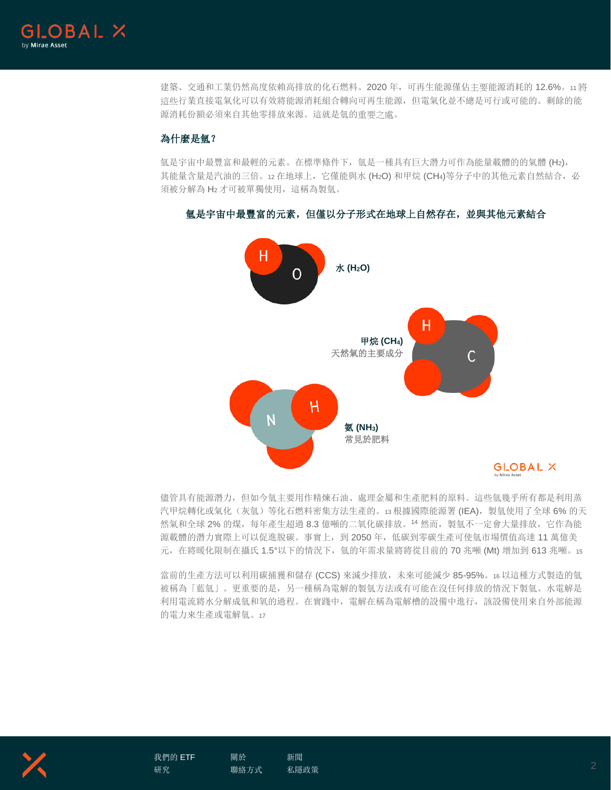

建築、交通和工業仍然高度依賴高排放的化石燃料。2020 年,可再生能源僅佔主要能源消耗的 12.6%。11 將 這些行業直接電氣化可以有效將能源消耗組合轉向可再生能源,但電氣化並不總是可行或可能的。剩餘的能 源消耗份額必須來自其他零排放來源。這就是氫的重要之處。

# 為什麼是氫?

氫是宇宙中最豐富和最輕的元素。在標準條件下, 氫是一種具有巨大潛力可作為能量載體的的氣體 (H2), 其能量含量是汽油的三倍。12 在地球上,它僅能與水 (H2O) 和甲烷 (CH4)等分子中的其他元素自然結合, 必 須被分解為 H2 才可被單獨使用,這稱為製氫。

## 氫是宇宙中最豐富的元素,但僅以分子形式在地球上自然存在,並與其他元素結合



儘管具有能源潛力,但如今氫主要用作精煉石油、處理金屬和生產肥料的原料。這些氫幾乎所有都是利用蒸 汽甲烷轉化或氣化(灰氫)等化石燃料密集方法生產的。13 根據國際能源署 (IEA), 製氫使用了全球 6% 的天 然氣和全球 2% 的煤, 每年產生超過 8.3 億噸的二氧化碳排放。14 然而, 製氫不一定會大量排放, 它作為能 源載體的潛力實際上可以促進脫碳。事實上,到 2050 年,低碳到零碳生產可使氫市場價值高達 11 萬億美 元, 在將暖化限制在攝氏 1.5°以下的情況下, 氫的年需求量將將從目前的 70 兆噸 (Mt) 增加到 613 兆噸。15

當前的生產方法可以利用碳捕獲和儲存 (CCS) 來減少排放,未來可能減少 85-95%。16 以這種方式製造的氫 被稱為「藍氫」。更重要的是,另一種稱為電解的製氫方法或有可能在沒任何排放的情況下製氫。水電解是 利用電流將水分解成氫和氧的過程。在實踐中,電解在稱為電解槽的設備中進行,該設備使用來自外部能源 的電力來生產或電解氫。<sup>17</sup>



[我們的](https://www.globalxetfs.com/) ETF [研究](https://www.globalxetfs.com/research/)

[聯絡方式](https://www.globalxetfs.com/contact/)

[關於](https://www.globalxetfs.com/about/)

[新聞](https://www.globalxetfs.com/news/) ……<br>[私隱政策](https://www.globalxetfs.com/privacy/) 2000年 - 2000年 - 2000年 - 2000年 - 2000年 - 2000年 - 2000年 - 2000年 - 2000年 - 2000年 - 2000年 - 2000年 - 2000年 - 2<br>- 2000年 - 2000年 - 2000年 - 2000年 - 2000年 - 2000年 - 2000年 - 2000年 - 2000年 - 2000年 - 2000年 - 2000年 - 2000年 -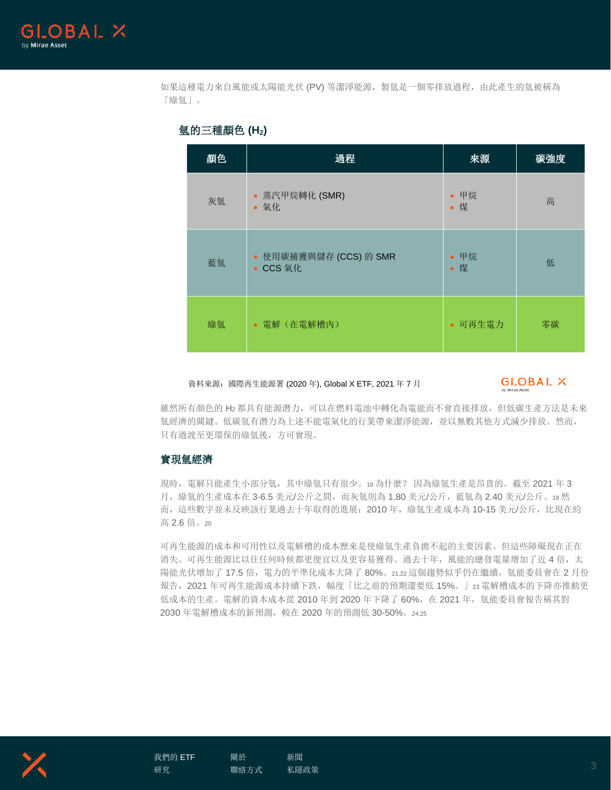

如果這種電力來自風能或太陽能光伏 (PV) 等潔淨能源,製氫是一個零排放過程,由此產生的氫被稱為 「綠氫」。

| 顏色 | 過程                                 | 來源          | 碳強度 |
|----|------------------------------------|-------------|-----|
| 灰氫 | • 蒸汽甲烷轉化 (SMR)<br>• 氣化             | • 甲烷<br>• 煤 | 高   |
| 藍氫 | • 使用碳捕獲與儲存 (CCS) 的 SMR<br>• CCS 氣化 | • 甲烷<br>• 煤 | 低   |
| 綠氫 | • 電解(在電解槽內)                        | • 可再生電力     | 零碳  |

## 氫的三種顏色 **(H2)**

#### 資料來源:國際再生能源署 (2020 年), Global X ETF, 2021 年 7 月

# GLOBAL X

雖然所有顏色的 H2 都具有能源潛力,可以在燃料電池中轉化為電能而不會直接排放,但低碳生產方法是未來 氫經濟的關鍵。低碳氫有潛力為上述不能電氣化的行業帶來潔淨能源,並以無數其他方式減少排放。然而, 只有過渡至更環保的綠氫後,方可實現。

#### 實現氫經濟

現時,電解只能產生小部分氫,其中綠氫只有很少。18 為什麼? 因為綠氫生產是昂貴的。截至 2021 年 3 月,綠氫的生產成本在 3-6.5 美元/公斤之間,而灰氫則為 1.80 美元/公斤,藍氫為 2.40 美元/公斤。19 然 而,這些數字並未反映該行業過去十年取得的進展:2010 年,綠氫生產成本為 10-15 美元/公斤,比現在約 高 2.6 倍。<sup>20</sup>

可再生能源的成本和可用性以及電解槽的成本歷來是使綠氫生產負擔不起的主要因素。但這些障礙現在正在 消失。可再生能源比以往任何時候都更便宜以及更容易獲得。過去十年,風能的總發電量增加了近4倍,太 陽能光伏增加了17.5倍,電力的平準化成本大降了 80%。21,22 這個趨勢似乎仍在繼續, 氫能委員會在 2 月份 報告,2021 年可再生能源成本持續下跌,幅度「比之前的預期還要低 15%。」23 電解槽成本的下降亦推動更 低成本的生產。電解的資本成本從 2010 年到 2020 年下降了 60%, 在 2021 年, 氫能委員會報告稱其對 2030 年電解槽成本的新預測,較在 2020 年的預測低 30-50%。24,25

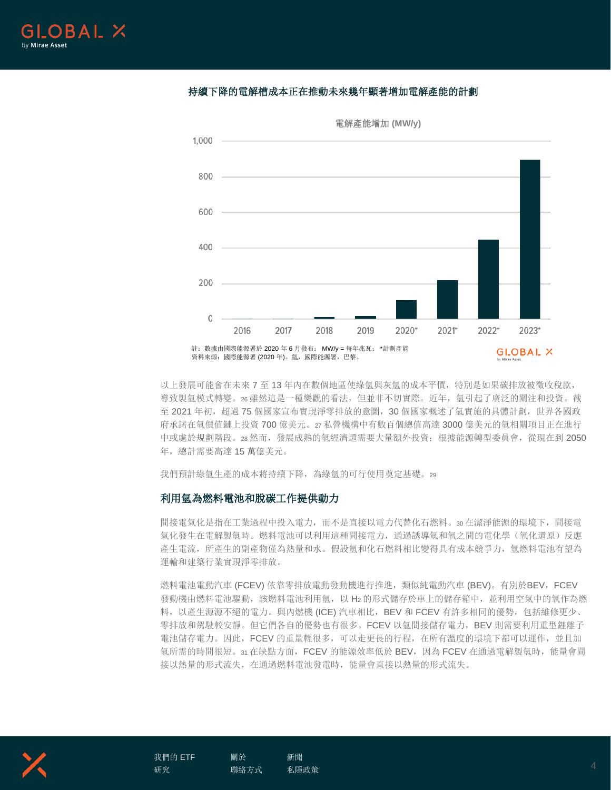# 持續下降的電解槽成本正在推動未來幾年顯著增加電解產能的計劃



電解產能增加 **(MW/y)**

以上發展可能會在未來 7 至 13 年內在數個地區使綠氫與灰氫的成本平價,特別是如果碳排放被徵收稅款, 導致製氫模式轉變。26 雖然這是一種樂觀的看法,但並非不切實際。近年,氫還引起了廣泛的關注和投資。截 至 2021 年初,超過 75 個國家宣布實現淨零排放的意圖, 30 個國家概述了氫實施的具體計劃,世界各國政 府承諾在氫價值鏈上投資 700 億美元。27 私營機構中有數百個總值高達 3000 億美元的氫相關項目正在進行 中或處於規劃階段。28 然而,發展成熟的氫經濟還需要大量額外投資;根據能源轉型委員會,從現在到 2050 年,總計需要高達 15 萬億美元。

我們預計綠氫生產的成本將持續下降,為綠氫的可行使用奠定基礎。<sup>29</sup>

## 利用氫為燃料電池和脫碳工作提供動力

間接電氣化是指在工業過程中投入電力,而不是直接以電力代替化石燃料。30 在潔淨能源的環境下,間接電 氣化發生在電解製氫時。燃料電池可以利用這種間接電力,通過誘導氫和氧之間的電化學(氧化還原)反應 產生電流,所產生的副產物僅為熱量和水。假設氫和化石燃料相比變得具有成本競爭力,氫燃料電池有望為 運輸和建築行業實現淨零排放。

燃料電池電動汽車 (FCEV) 依靠零排放電動發動機進行推進,類似純電動汽車 (BEV)。有別於BEV,FCEV 發動機由燃料電池驅動,該燃料電池利用氫,以 H2 的形式儲存於車上的儲存箱中, 並利用空氣中的氧作為燃 料,以產生源源不絕的電力。與內燃機 (ICE) 汽車相比,BEV 和 FCEV 有許多相同的優勢,包括維修更少、 零排放和駕駛較安靜。但它們各自的優勢也有很多。FCEV 以氫間接儲存電力,BEV 則需要利用重型鋰離子 電池儲存電力。因此,FCEV 的重量輕很多,可以走更長的行程,在所有溫度的環境下都可以運作,並且加 氫所需的時間很短。31 在缺點方面, FCEV 的能源效率低於 BEV, 因為 FCEV 在通過電解製氫時, 能量會間 接以熱量的形式流失,在通過燃料電池發電時,能量會直接以熱量的形式流失。



[關於](https://www.globalxetfs.com/about/)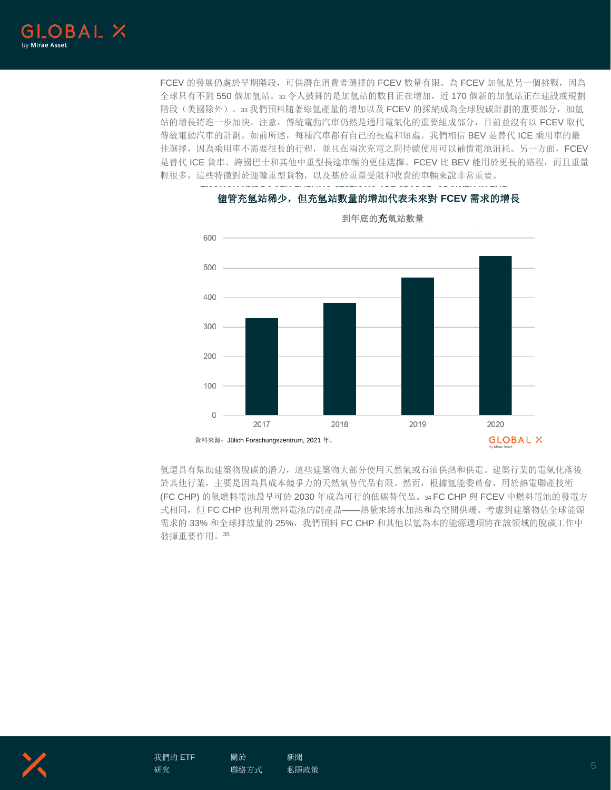

FCEV 的發展仍處於早期階段,可供潛在消費者選擇的 FCEV 數量有限。為 FCEV 加氫是另一個挑戰,因為 全球只有不到 550 個加氫站。32 令人鼓舞的是加氫站的數目正在增加,近 170 個新的加氫站正在建設或規劃 階段(美國除外)。33 我們預料隨著綠氫產量的增加以及 FCEV 的採納成為全球脫碳計劃的重要部分,加氫 站的增長將進一步加快。注意,傳統電動汽車仍然是通用電氣化的重要組成部分,目前並沒有以 FCEV 取代 傳統電動汽車的計劃。如前所述,每種汽車都有自己的長處和短處。我們相信 BEV 是替代 ICE 乘用車的最 佳選擇,因為乘用車不需要很長的行程,並且在兩次充電之間持續使用可以補償電池消耗。另一方面,FCEV 是替代 ICE 貨車、跨國巴士和其他中重型長途車輛的更佳選擇。FCEV 比 BEV 能用於更長的路程,而且重量 輕很多,這些特徵對於運輸重型貨物,以及基於重量受限和收費的車輛來說非常重要。



## 儘管充氫站稀少,但充氫站數量的增加代表未來對 **FCEV** 需求的增長

到年底的充氫站數量

氫還具有幫助建築物脫碳的潛力,這些建築物大部分使用天然氣或石油供熱和供電。建築行業的電氣化落後 於其他行業,主要是因為具成本競爭力的天然氣替代品有限。然而,根據氫能委員會,用於熱電聯產技術 (FC CHP) 的氫燃料電池最早可於 2030 年成為可行的低碳替代品。34 FC CHP 與 FCEV 中燃料電池的發電方 式相同,但 FC CHP 也利用燃料電池的副產品——熱量來將水加熱和為空間供暖。考慮到建築物佔全球能源 需求的 33% 和全球排放量的 25%,我們預料 FC CHP 和其他以氫為本的能源選項將在該領域的脫碳工作中 發揮重要作用。<sup>35</sup>



[關於](https://www.globalxetfs.com/about/) [聯絡方式](https://www.globalxetfs.com/contact/) [新聞](https://www.globalxetfs.com/news/) [私隱政策](https://www.globalxetfs.com/privacy/) 5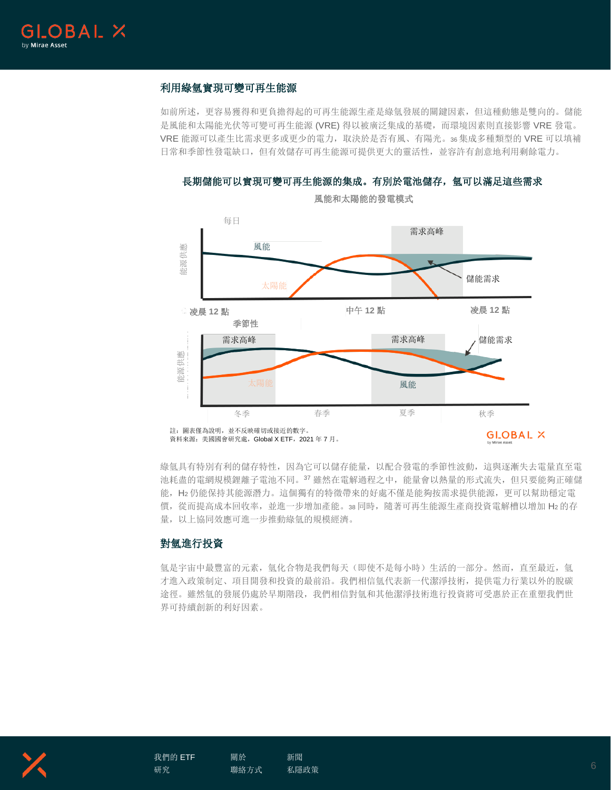

# 利用綠氫實現可變可再生能源

如前所述,更容易獲得和更負擔得起的可再生能源生產是綠氫發展的關鍵因素,但這種動態是雙向的。儲能 是風能和太陽能光伏等可變可再生能源 (VRE) 得以被廣泛集成的基礎,而環境因素則直接影響 VRE 發電。 VRE 能源可以產生比需求更多或更少的電力,取決於是否有風、有陽光。36 集成多種類型的 VRE 可以填補 日常和季節性發電缺口,但有效儲存可再生能源可提供更大的靈活性,並容許有創意地利用剩餘電力。



長期儲能可以實現可變可再生能源的集成。有別於電池儲存,氫可以滿足這些需求

風能和太陽能的發電模式

綠氫具有特別有利的儲存特性,因為它可以儲存能量,以配合發電的季節性波動,這與逐漸失去電量直至電 池耗盡的電網規模鋰離子電池不同。37 雖然在電解過程之中,能量會以熱量的形式流失,但只要能夠正確儲 能,H2 仍能保持其能源潛力。這個獨有的特徵帶來的好處不僅是能夠按需求提供能源,更可以幫助穩定電 價,從而提高成本回收率,並進一步增加產能。38 同時,隨著可再生能源生產商投資電解槽以增加 H2 的存 量,以上協同效應可進一步推動綠氫的規模經濟。

## 對氫進行投資

氫是宇宙中最豐富的元素, 氫化合物是我們每天(即使不是每小時)生活的一部分。然而, 直至最近, 氫 才進入政策制定、項目開發和投資的最前沿。我們相信氫代表新一代潔淨技術,提供電力行業以外的脫碳 途徑。雖然氫的發展仍處於早期階段,我們相信對氫和其他潔淨技術進行投資將可受惠於正在重塑我們世 界可持續創新的利好因素。



資料來源:美國國會研究處,Global X ETF,2021 年 7 月。

**GLOBAL X**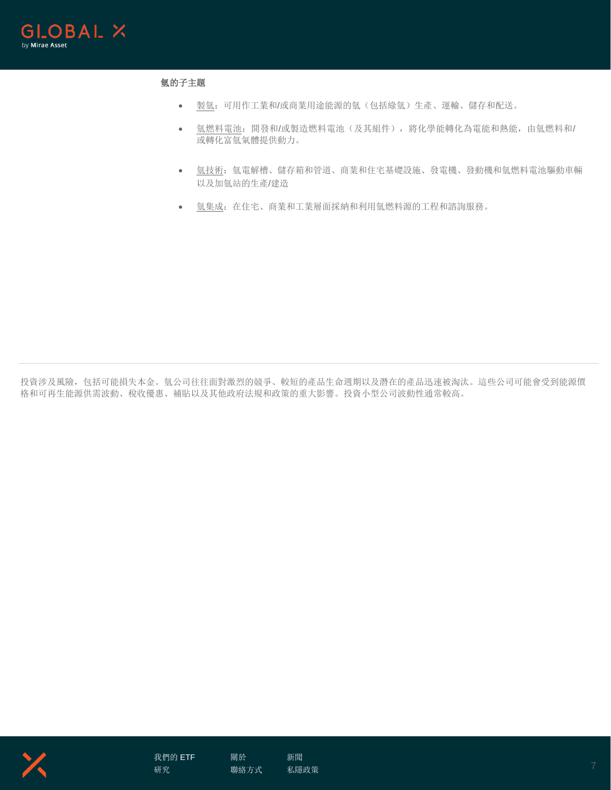

# 氫的子主題

- 製氫:可用作工業和/或商業用途能源的氫(包括綠氫)生產、運輸、儲存和配送。
- 氫燃料電池:開發和/或製造燃料電池(及其組件),將化學能轉化為電能和熱能,由氫燃料和/ 或轉化富氫氣體提供動力。
- 氫技術: 氫電解槽、儲存箱和管道、商業和住宅基礎設施、發電機、發動機和氫燃料電池驅動車輛 以及加氫站的生產/建造
- 氫集成:在住宅、商業和工業層面採納和利用氫燃料源的工程和諮詢服務。

投資涉及風險,包括可能損失本金。氫公司往往面對激烈的競爭、較短的產品生命週期以及潛在的產品迅速被淘汰。這些公司可能會受到能源價 格和可再生能源供需波動、稅收優惠、補貼以及其他政府法規和政策的重大影響。投資小型公司波動性通常較高。



[聯絡方式](https://www.globalxetfs.com/contact/)

[關於](https://www.globalxetfs.com/about/)

[新聞](https://www.globalxetfs.com/news/) [私隱政策](https://www.globalxetfs.com/privacy/) 7